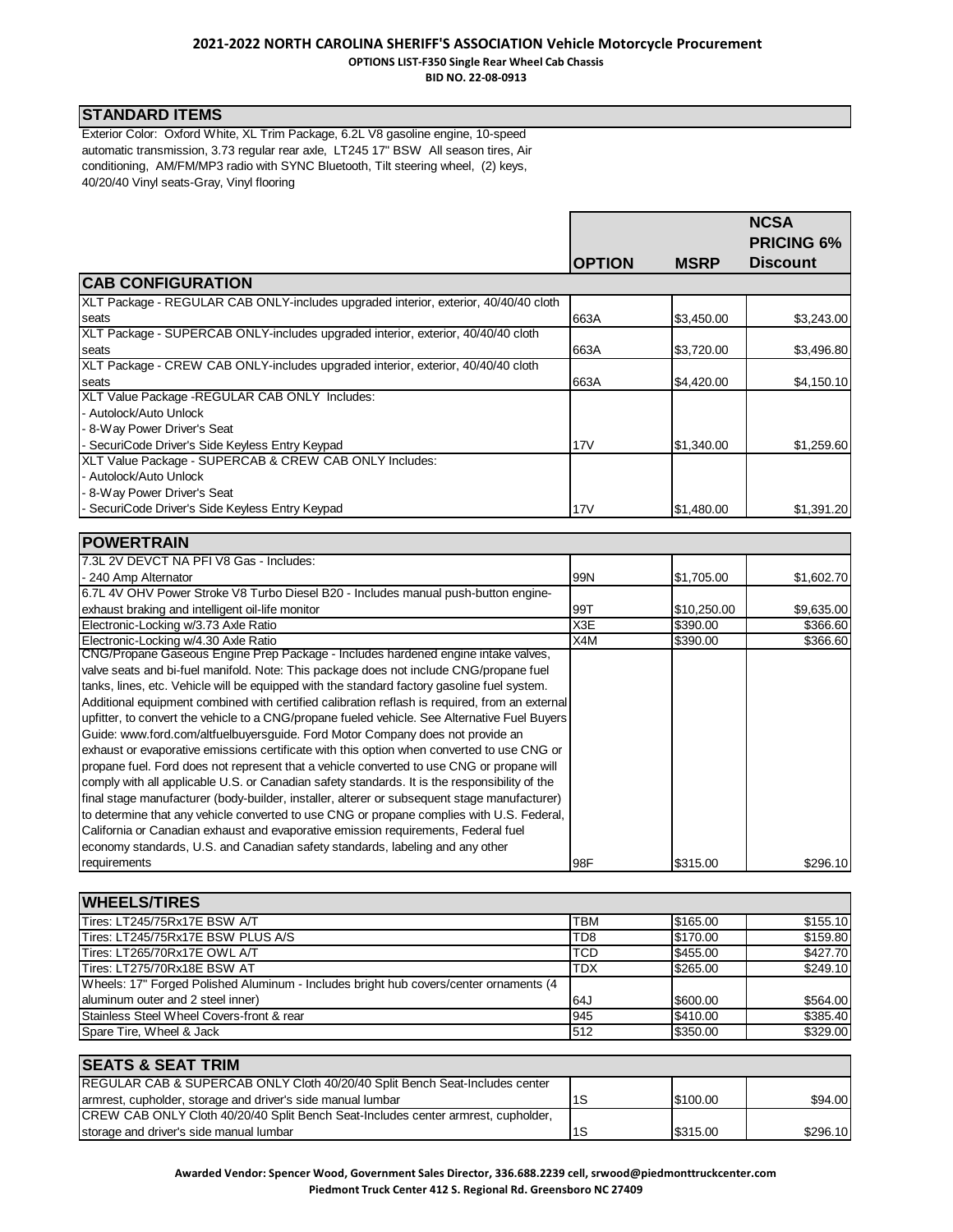## **2021-2022 NORTH CAROLINA SHERIFF'S ASSOCIATION Vehicle Motorcycle Procurement OPTIONS LIST-F350 Single Rear Wheel Cab Chassis**

**BID NO. 22-08-0913**

### **STANDARD ITEMS**

Exterior Color: Oxford White, XL Trim Package, 6.2L V8 gasoline engine, 10-speed automatic transmission, 3.73 regular rear axle, LT245 17" BSW All season tires, Air conditioning, AM/FM/MP3 radio with SYNC Bluetooth, Tilt steering wheel, (2) keys, 40/20/40 Vinyl seats-Gray, Vinyl flooring

|                                                                                     |               |             | <b>NCSA</b><br><b>PRICING 6%</b> |
|-------------------------------------------------------------------------------------|---------------|-------------|----------------------------------|
|                                                                                     | <b>OPTION</b> | <b>MSRP</b> | <b>Discount</b>                  |
| <b>CAB CONFIGURATION</b>                                                            |               |             |                                  |
| XLT Package - REGULAR CAB ONLY-includes upgraded interior, exterior, 40/40/40 cloth |               |             |                                  |
| seats                                                                               | 663A          | \$3,450.00  | \$3,243.00                       |
| XLT Package - SUPERCAB ONLY-includes upgraded interior, exterior, 40/40/40 cloth    |               |             |                                  |
| seats                                                                               | 663A          | \$3,720.00  | \$3,496.80                       |
| XLT Package - CREW CAB ONLY-includes upgraded interior, exterior, 40/40/40 cloth    |               |             |                                  |
| seats                                                                               | 663A          | \$4,420.00  | \$4,150.10                       |
| XLT Value Package - REGULAR CAB ONLY Includes:                                      |               |             |                                  |
| - Autolock/Auto Unlock                                                              |               |             |                                  |
| - 8-Way Power Driver's Seat                                                         |               |             |                                  |
| - SecuriCode Driver's Side Keyless Entry Keypad                                     | 17V           | \$1,340.00  | \$1,259.60                       |
| XLT Value Package - SUPERCAB & CREW CAB ONLY Includes:                              |               |             |                                  |
| - Autolock/Auto Unlock                                                              |               |             |                                  |
| - 8-Way Power Driver's Seat                                                         |               |             |                                  |
| SecuriCode Driver's Side Keyless Entry Keypad                                       | 17V           | \$1,480.00  | \$1,391.20                       |
|                                                                                     |               |             |                                  |
| <b>POWERTRAIN</b>                                                                   |               |             |                                  |

| IF UWLIN I INAII                                                                               |     |             |            |
|------------------------------------------------------------------------------------------------|-----|-------------|------------|
| 7.3L 2V DEVCT NA PFI V8 Gas - Includes:                                                        |     |             |            |
| - 240 Amp Alternator                                                                           | 99N | \$1,705.00  | \$1,602.70 |
| 6.7L 4V OHV Power Stroke V8 Turbo Diesel B20 - Includes manual push-button engine-             |     |             |            |
| exhaust braking and intelligent oil-life monitor                                               | 99T | \$10,250.00 | \$9,635.00 |
| Electronic-Locking w/3.73 Axle Ratio                                                           | X3E | \$390.00    | \$366.60   |
| Electronic-Locking w/4.30 Axle Ratio                                                           | X4M | \$390.00    | \$366.60   |
| CNG/Propane Gaseous Engine Prep Package - Includes hardened engine intake valves,              |     |             |            |
| valve seats and bi-fuel manifold. Note: This package does not include CNG/propane fuel         |     |             |            |
| tanks, lines, etc. Vehicle will be equipped with the standard factory gasoline fuel system.    |     |             |            |
| Additional equipment combined with certified calibration reflash is required, from an external |     |             |            |
| upfitter, to convert the vehicle to a CNG/propane fueled vehicle. See Alternative Fuel Buyers  |     |             |            |
| Guide: www.ford.com/altfuelbuyersguide. Ford Motor Company does not provide an                 |     |             |            |
| exhaust or evaporative emissions certificate with this option when converted to use CNG or     |     |             |            |
| propane fuel. Ford does not represent that a vehicle converted to use CNG or propane will      |     |             |            |
| comply with all applicable U.S. or Canadian safety standards. It is the responsibility of the  |     |             |            |
| final stage manufacturer (body-builder, installer, alterer or subsequent stage manufacturer)   |     |             |            |
| to determine that any vehicle converted to use CNG or propane complies with U.S. Federal,      |     |             |            |
| California or Canadian exhaust and evaporative emission requirements, Federal fuel             |     |             |            |
| economy standards, U.S. and Canadian safety standards, labeling and any other                  |     |             |            |
| requirements                                                                                   | 98F | \$315.00    | \$296.10   |

| <b>WHEELS/TIRES</b>                                                                   |                 |          |          |
|---------------------------------------------------------------------------------------|-----------------|----------|----------|
| Tires: LT245/75Rx17E BSW A/T                                                          | <b>TBM</b>      | \$165.00 | \$155.10 |
| Tires: LT245/75Rx17E BSW PLUS A/S                                                     | TD <sub>8</sub> | \$170.00 | \$159.80 |
| Tires: LT265/70Rx17E OWL A/T                                                          | TCD             | \$455.00 | \$427.70 |
| Tires: LT275/70Rx18E BSW AT                                                           | <b>TDX</b>      | \$265.00 | \$249.10 |
| Wheels: 17" Forged Polished Aluminum - Includes bright hub covers/center ornaments (4 |                 |          |          |
| aluminum outer and 2 steel inner)                                                     | l64J            | \$600.00 | \$564.00 |
| Stainless Steel Wheel Covers-front & rear                                             | 945             | \$410.00 | \$385.40 |
| Spare Tire, Wheel & Jack                                                              | 1512            | \$350.00 | \$329.00 |
|                                                                                       |                 |          |          |

| <b>SEATS &amp; SEAT TRIM</b>                                                              |    |          |          |
|-------------------------------------------------------------------------------------------|----|----------|----------|
| REGULAR CAB & SUPERCAB ONLY Cloth 40/20/40 Split Bench Seat-Includes center               |    |          |          |
| armrest, cupholder, storage and driver's side manual lumbar                               |    | \$100.00 | \$94.00  |
| <b>ICREW CAB ONLY Cloth 40/20/40 Split Bench Seat-Includes center armrest, cupholder,</b> |    |          |          |
| storage and driver's side manual lumbar                                                   | 1S | \$315.00 | \$296.10 |

**Awarded Vendor: Spencer Wood, Government Sales Director, 336.688.2239 cell, srwood@piedmonttruckcenter.com Piedmont Truck Center 412 S. Regional Rd. Greensboro NC 27409**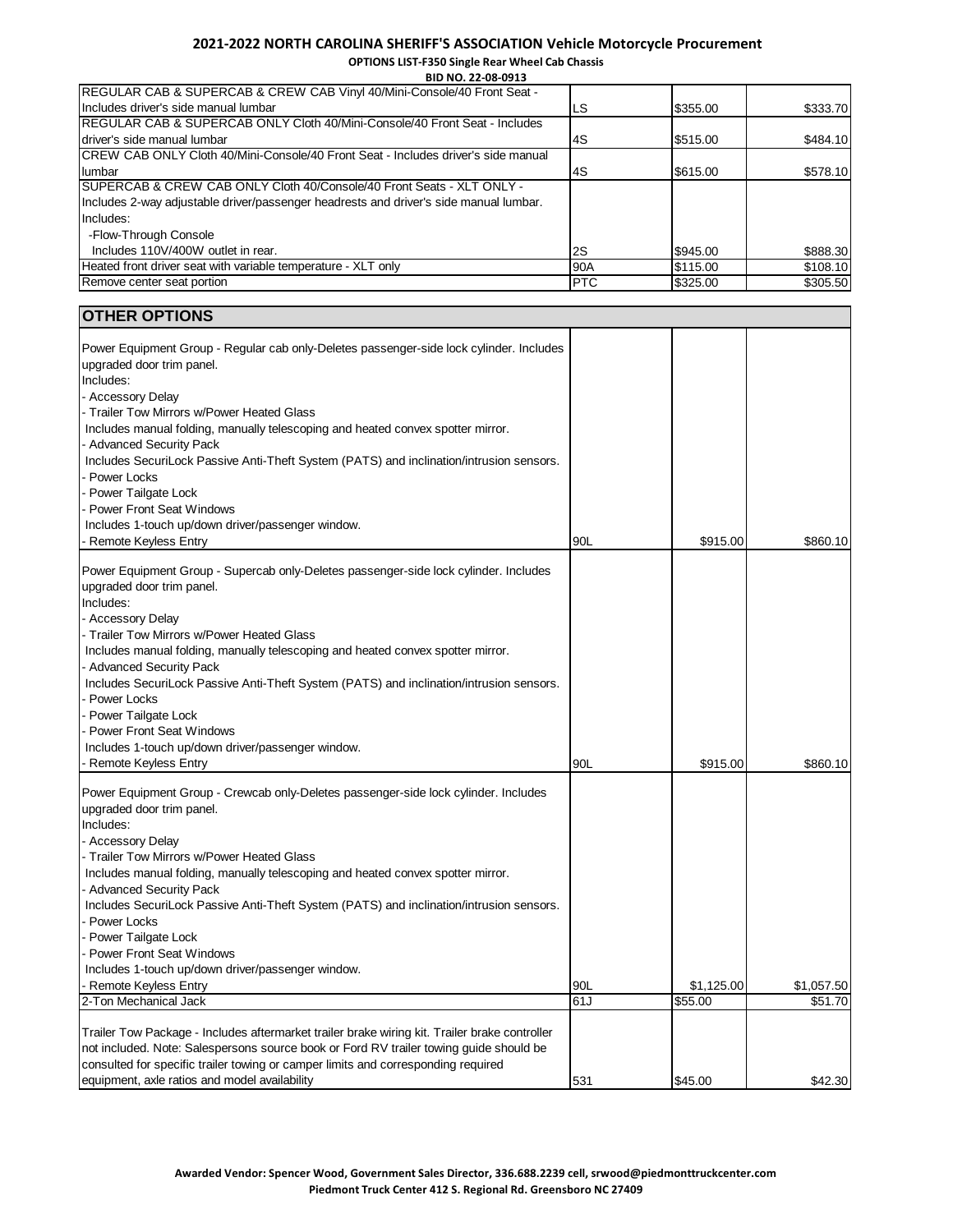**OPTIONS LIST-F350 Single Rear Wheel Cab Chassis BID NO. 22-08-0913**

| LS         | \$355.00 | \$333.70 |
|------------|----------|----------|
|            |          |          |
| 4S         | \$515.00 | \$484.10 |
|            |          |          |
| 4S         | \$615.00 | \$578.10 |
|            |          |          |
|            |          |          |
|            |          |          |
|            |          |          |
| 2S         | \$945.00 | \$888.30 |
| 90A        | \$115.00 | \$108.10 |
| <b>PTC</b> | \$325.00 | \$305.50 |
|            |          |          |

| <b>OTHER OPTIONS</b>                                                                                                                                                                                                                                                                                                                                                                                                                                                                                                                                                          |     |            |            |
|-------------------------------------------------------------------------------------------------------------------------------------------------------------------------------------------------------------------------------------------------------------------------------------------------------------------------------------------------------------------------------------------------------------------------------------------------------------------------------------------------------------------------------------------------------------------------------|-----|------------|------------|
| Power Equipment Group - Regular cab only-Deletes passenger-side lock cylinder. Includes<br>upgraded door trim panel.<br>Includes:<br>- Accessory Delay<br>- Trailer Tow Mirrors w/Power Heated Glass<br>Includes manual folding, manually telescoping and heated convex spotter mirror.<br>Advanced Security Pack<br>Includes SecuriLock Passive Anti-Theft System (PATS) and inclination/intrusion sensors.<br>Power Locks<br>- Power Tailgate Lock                                                                                                                          |     |            |            |
| Power Front Seat Windows                                                                                                                                                                                                                                                                                                                                                                                                                                                                                                                                                      |     |            |            |
| Includes 1-touch up/down driver/passenger window.                                                                                                                                                                                                                                                                                                                                                                                                                                                                                                                             |     |            |            |
| <b>Remote Keyless Entry</b>                                                                                                                                                                                                                                                                                                                                                                                                                                                                                                                                                   | 90L | \$915.00   | \$860.10   |
| Power Equipment Group - Supercab only-Deletes passenger-side lock cylinder. Includes<br>upgraded door trim panel.<br>Includes:<br>- Accessory Delay<br>- Trailer Tow Mirrors w/Power Heated Glass<br>Includes manual folding, manually telescoping and heated convex spotter mirror.<br><b>Advanced Security Pack</b><br>Includes SecuriLock Passive Anti-Theft System (PATS) and inclination/intrusion sensors.<br>Power Locks<br>Power Tailgate Lock<br><b>Power Front Seat Windows</b><br>Includes 1-touch up/down driver/passenger window.<br><b>Remote Keyless Entry</b> | 90L | \$915.00   | \$860.10   |
| Power Equipment Group - Crewcab only-Deletes passenger-side lock cylinder. Includes                                                                                                                                                                                                                                                                                                                                                                                                                                                                                           |     |            |            |
| upgraded door trim panel.                                                                                                                                                                                                                                                                                                                                                                                                                                                                                                                                                     |     |            |            |
| Includes:<br>- Accessory Delay<br>Trailer Tow Mirrors w/Power Heated Glass<br>Includes manual folding, manually telescoping and heated convex spotter mirror.<br><b>Advanced Security Pack</b><br>Includes SecuriLock Passive Anti-Theft System (PATS) and inclination/intrusion sensors.<br>Power Locks<br>Power Tailgate Lock<br>Power Front Seat Windows<br>Includes 1-touch up/down driver/passenger window.                                                                                                                                                              |     |            |            |
| <b>Remote Keyless Entry</b>                                                                                                                                                                                                                                                                                                                                                                                                                                                                                                                                                   | 90L | \$1,125.00 | \$1,057.50 |
| 2-Ton Mechanical Jack                                                                                                                                                                                                                                                                                                                                                                                                                                                                                                                                                         | 61J | \$55.00    | \$51.70    |
| Trailer Tow Package - Includes aftermarket trailer brake wiring kit. Trailer brake controller<br>not included. Note: Salespersons source book or Ford RV trailer towing guide should be<br>consulted for specific trailer towing or camper limits and corresponding required<br>equipment, axle ratios and model availability                                                                                                                                                                                                                                                 | 531 | \$45.00    | \$42.30    |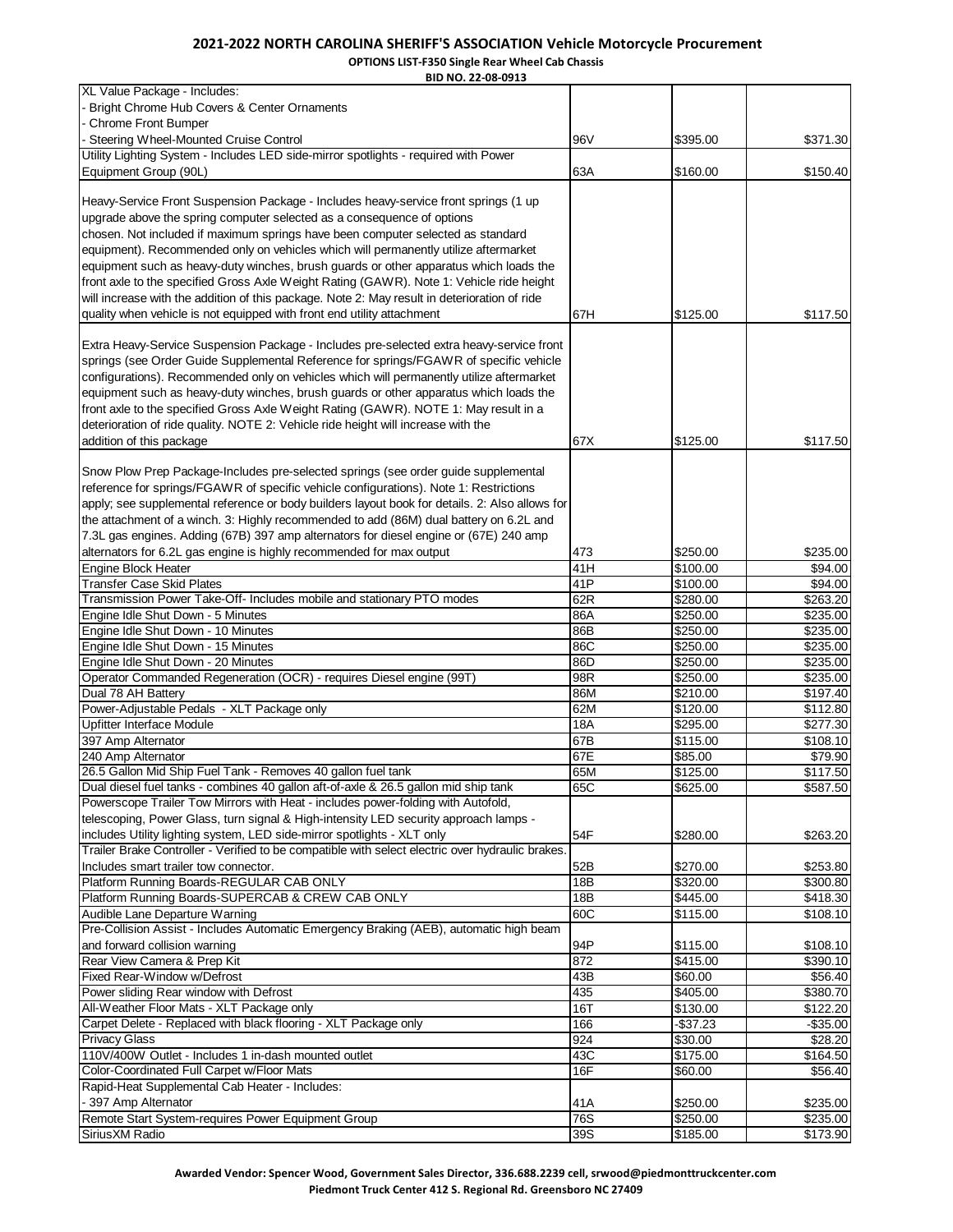**OPTIONS LIST-F350 Single Rear Wheel Cab Chassis**

| BID NO. 22-08-0913                                                                                                           |            |                      |                      |
|------------------------------------------------------------------------------------------------------------------------------|------------|----------------------|----------------------|
| XL Value Package - Includes:                                                                                                 |            |                      |                      |
| Bright Chrome Hub Covers & Center Ornaments                                                                                  |            |                      |                      |
| <b>Chrome Front Bumper</b>                                                                                                   |            |                      |                      |
| Steering Wheel-Mounted Cruise Control<br>Utility Lighting System - Includes LED side-mirror spotlights - required with Power | 96V        | \$395.00             | \$371.30             |
| Equipment Group (90L)                                                                                                        | 63A        | \$160.00             | \$150.40             |
|                                                                                                                              |            |                      |                      |
| Heavy-Service Front Suspension Package - Includes heavy-service front springs (1 up                                          |            |                      |                      |
| upgrade above the spring computer selected as a consequence of options                                                       |            |                      |                      |
| chosen. Not included if maximum springs have been computer selected as standard                                              |            |                      |                      |
| equipment). Recommended only on vehicles which will permanently utilize aftermarket                                          |            |                      |                      |
| equipment such as heavy-duty winches, brush guards or other apparatus which loads the                                        |            |                      |                      |
| front axle to the specified Gross Axle Weight Rating (GAWR). Note 1: Vehicle ride height                                     |            |                      |                      |
| will increase with the addition of this package. Note 2: May result in deterioration of ride                                 |            |                      |                      |
| quality when vehicle is not equipped with front end utility attachment                                                       | 67H        | \$125.00             | \$117.50             |
| Extra Heavy-Service Suspension Package - Includes pre-selected extra heavy-service front                                     |            |                      |                      |
| springs (see Order Guide Supplemental Reference for springs/FGAWR of specific vehicle                                        |            |                      |                      |
| configurations). Recommended only on vehicles which will permanently utilize aftermarket                                     |            |                      |                      |
| equipment such as heavy-duty winches, brush guards or other apparatus which loads the                                        |            |                      |                      |
| front axle to the specified Gross Axle Weight Rating (GAWR). NOTE 1: May result in a                                         |            |                      |                      |
| deterioration of ride quality. NOTE 2: Vehicle ride height will increase with the                                            |            |                      |                      |
| addition of this package                                                                                                     | 67X        | \$125.00             | \$117.50             |
|                                                                                                                              |            |                      |                      |
| Snow Plow Prep Package-Includes pre-selected springs (see order guide supplemental                                           |            |                      |                      |
| reference for springs/FGAWR of specific vehicle configurations). Note 1: Restrictions                                        |            |                      |                      |
| apply; see supplemental reference or body builders layout book for details. 2: Also allows for                               |            |                      |                      |
| the attachment of a winch. 3: Highly recommended to add (86M) dual battery on 6.2L and                                       |            |                      |                      |
| 7.3L gas engines. Adding (67B) 397 amp alternators for diesel engine or (67E) 240 amp                                        |            |                      |                      |
| alternators for 6.2L gas engine is highly recommended for max output<br><b>Engine Block Heater</b>                           | 473<br>41H | \$250.00<br>\$100.00 | \$235.00<br>\$94.00  |
| <b>Transfer Case Skid Plates</b>                                                                                             | 41P        | \$100.00             | \$94.00              |
| Transmission Power Take-Off- Includes mobile and stationary PTO modes                                                        | 62R        | \$280.00             | \$263.20             |
| Engine Idle Shut Down - 5 Minutes                                                                                            | 86A        | \$250.00             | \$235.00             |
| Engine Idle Shut Down - 10 Minutes                                                                                           | 86B        | \$250.00             | \$235.00             |
| Engine Idle Shut Down - 15 Minutes                                                                                           | 86C        | \$250.00             | \$235.00             |
| Engine Idle Shut Down - 20 Minutes                                                                                           | 86D        | \$250.00             | \$235.00             |
| Operator Commanded Regeneration (OCR) - requires Diesel engine (99T)                                                         | 98R        | \$250.00             | \$235.00             |
| Dual 78 AH Battery                                                                                                           | 86M        | \$210.00             | \$197.40             |
| Power-Adjustable Pedals - XLT Package only                                                                                   | 62M        | \$120.00             | \$112.80             |
| Upfitter Interface Module<br>397 Amp Alternator                                                                              | 18A<br>67B | \$295.00<br>\$115.00 | \$277.30<br>\$108.10 |
| 240 Amp Alternator                                                                                                           | 67E        | \$85.00              | \$79.90              |
| 26.5 Gallon Mid Ship Fuel Tank - Removes 40 gallon fuel tank                                                                 | 65M        | \$125.00             | \$117.50             |
| Dual diesel fuel tanks - combines 40 gallon aft-of-axle & 26.5 gallon mid ship tank                                          | 65C        | \$625.00             | \$587.50             |
| Powerscope Trailer Tow Mirrors with Heat - includes power-folding with Autofold,                                             |            |                      |                      |
| telescoping, Power Glass, turn signal & High-intensity LED security approach lamps -                                         |            |                      |                      |
| includes Utility lighting system, LED side-mirror spotlights - XLT only                                                      | 54F        | \$280.00             | \$263.20             |
| Trailer Brake Controller - Verified to be compatible with select electric over hydraulic brakes.                             |            |                      |                      |
| Includes smart trailer tow connector.                                                                                        | 52B        | \$270.00             | \$253.80             |
| Platform Running Boards-REGULAR CAB ONLY                                                                                     | 18B        | \$320.00             | \$300.80             |
| Platform Running Boards-SUPERCAB & CREW CAB ONLY                                                                             | 18B        | \$445.00             | \$418.30             |
| Audible Lane Departure Warning<br>Pre-Collision Assist - Includes Automatic Emergency Braking (AEB), automatic high beam     | 60C        | \$115.00             | \$108.10             |
| and forward collision warning                                                                                                | 94P        | \$115.00             | \$108.10             |
| Rear View Camera & Prep Kit                                                                                                  | 872        | \$415.00             | \$390.10             |
| Fixed Rear-Window w/Defrost                                                                                                  | 43B        | \$60.00              | \$56.40              |
| Power sliding Rear window with Defrost                                                                                       | 435        | \$405.00             | \$380.70             |
| All-Weather Floor Mats - XLT Package only                                                                                    | 16T        | \$130.00             | \$122.20             |
| Carpet Delete - Replaced with black flooring - XLT Package only                                                              | 166        | $-$37.23$            | $-$ \$35.00          |
| <b>Privacy Glass</b>                                                                                                         | 924        | \$30.00              | \$28.20              |
| 110V/400W Outlet - Includes 1 in-dash mounted outlet                                                                         | 43C        | \$175.00             | \$164.50             |
| Color-Coordinated Full Carpet w/Floor Mats                                                                                   | 16F        | \$60.00              | \$56.40              |
| Rapid-Heat Supplemental Cab Heater - Includes:                                                                               |            |                      |                      |
| - 397 Amp Alternator                                                                                                         | 41A        | \$250.00             | \$235.00             |
| Remote Start System-requires Power Equipment Group<br>Sirius XM Radio                                                        | 76S<br>39S | \$250.00<br>\$185.00 | \$235.00<br>\$173.90 |
|                                                                                                                              |            |                      |                      |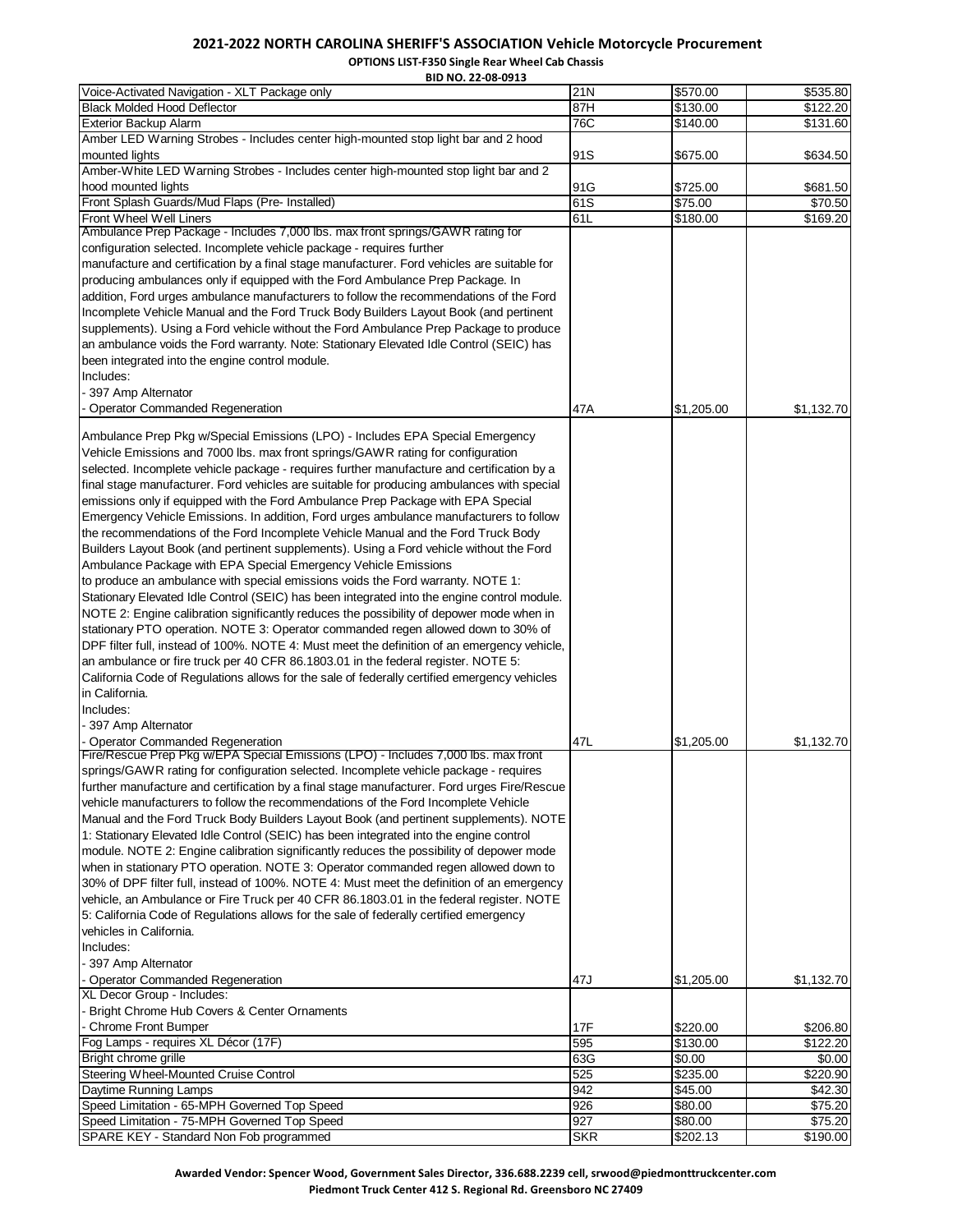**OPTIONS LIST-F350 Single Rear Wheel Cab Chassis BID NO. 22-08-0913**

| BID NO. 22-08-0913                                                                           |            |            |            |
|----------------------------------------------------------------------------------------------|------------|------------|------------|
| Voice-Activated Navigation - XLT Package only                                                | 21N        | \$570.00   | \$535.80   |
| <b>Black Molded Hood Deflector</b>                                                           | 87H        | \$130.00   | \$122.20   |
| <b>Exterior Backup Alarm</b>                                                                 | 76C        | \$140.00   | \$131.60   |
| Amber LED Warning Strobes - Includes center high-mounted stop light bar and 2 hood           |            |            |            |
| mounted lights                                                                               | 91S        | \$675.00   | \$634.50   |
| Amber-White LED Warning Strobes - Includes center high-mounted stop light bar and 2          |            |            |            |
| hood mounted lights                                                                          | 91G        | \$725.00   | \$681.50   |
| Front Splash Guards/Mud Flaps (Pre- Installed)                                               | 61S        | \$75.00    | \$70.50    |
| Front Wheel Well Liners                                                                      | 61L        | \$180.00   | \$169.20   |
| Ambulance Prep Package - Includes 7,000 lbs. max front springs/GAWR rating for               |            |            |            |
| configuration selected. Incomplete vehicle package - requires further                        |            |            |            |
| manufacture and certification by a final stage manufacturer. Ford vehicles are suitable for  |            |            |            |
| producing ambulances only if equipped with the Ford Ambulance Prep Package. In               |            |            |            |
| addition, Ford urges ambulance manufacturers to follow the recommendations of the Ford       |            |            |            |
| Incomplete Vehicle Manual and the Ford Truck Body Builders Layout Book (and pertinent        |            |            |            |
| supplements). Using a Ford vehicle without the Ford Ambulance Prep Package to produce        |            |            |            |
|                                                                                              |            |            |            |
| an ambulance voids the Ford warranty. Note: Stationary Elevated Idle Control (SEIC) has      |            |            |            |
| been integrated into the engine control module.                                              |            |            |            |
| Includes:                                                                                    |            |            |            |
| 397 Amp Alternator                                                                           |            |            |            |
| Operator Commanded Regeneration                                                              | 47A        | \$1,205.00 | \$1,132.70 |
|                                                                                              |            |            |            |
| Ambulance Prep Pkg w/Special Emissions (LPO) - Includes EPA Special Emergency                |            |            |            |
| Vehicle Emissions and 7000 lbs. max front springs/GAWR rating for configuration              |            |            |            |
| selected. Incomplete vehicle package - requires further manufacture and certification by a   |            |            |            |
| final stage manufacturer. Ford vehicles are suitable for producing ambulances with special   |            |            |            |
| emissions only if equipped with the Ford Ambulance Prep Package with EPA Special             |            |            |            |
| Emergency Vehicle Emissions. In addition, Ford urges ambulance manufacturers to follow       |            |            |            |
| the recommendations of the Ford Incomplete Vehicle Manual and the Ford Truck Body            |            |            |            |
| Builders Layout Book (and pertinent supplements). Using a Ford vehicle without the Ford      |            |            |            |
| Ambulance Package with EPA Special Emergency Vehicle Emissions                               |            |            |            |
| to produce an ambulance with special emissions voids the Ford warranty. NOTE 1:              |            |            |            |
| Stationary Elevated Idle Control (SEIC) has been integrated into the engine control module.  |            |            |            |
| NOTE 2: Engine calibration significantly reduces the possibility of depower mode when in     |            |            |            |
| stationary PTO operation. NOTE 3: Operator commanded regen allowed down to 30% of            |            |            |            |
| DPF filter full, instead of 100%. NOTE 4: Must meet the definition of an emergency vehicle,  |            |            |            |
| an ambulance or fire truck per 40 CFR 86.1803.01 in the federal register. NOTE 5:            |            |            |            |
|                                                                                              |            |            |            |
| California Code of Regulations allows for the sale of federally certified emergency vehicles |            |            |            |
| in California.                                                                               |            |            |            |
| Includes:                                                                                    |            |            |            |
| - 397 Amp Alternator                                                                         |            |            |            |
| Operator Commanded Regeneration                                                              | 47L        | \$1,205.00 | \$1,132.70 |
| Fire/Rescue Prep Pkg w/EPA Special Emissions (LPO) - Includes 7,000 lbs. max front           |            |            |            |
| springs/GAWR rating for configuration selected. Incomplete vehicle package - requires        |            |            |            |
| further manufacture and certification by a final stage manufacturer. Ford urges Fire/Rescue  |            |            |            |
| vehicle manufacturers to follow the recommendations of the Ford Incomplete Vehicle           |            |            |            |
| Manual and the Ford Truck Body Builders Layout Book (and pertinent supplements). NOTE        |            |            |            |
| 1: Stationary Elevated Idle Control (SEIC) has been integrated into the engine control       |            |            |            |
| module. NOTE 2: Engine calibration significantly reduces the possibility of depower mode     |            |            |            |
| when in stationary PTO operation. NOTE 3: Operator commanded regen allowed down to           |            |            |            |
| 30% of DPF filter full, instead of 100%. NOTE 4: Must meet the definition of an emergency    |            |            |            |
| vehicle, an Ambulance or Fire Truck per 40 CFR 86.1803.01 in the federal register. NOTE      |            |            |            |
| 5: California Code of Regulations allows for the sale of federally certified emergency       |            |            |            |
| vehicles in California.                                                                      |            |            |            |
| Includes:                                                                                    |            |            |            |
| - 397 Amp Alternator                                                                         |            |            |            |
|                                                                                              |            |            |            |
| Operator Commanded Regeneration                                                              | 47J        | \$1,205.00 | \$1,132.70 |
| XL Decor Group - Includes:                                                                   |            |            |            |
| Bright Chrome Hub Covers & Center Ornaments                                                  |            |            |            |
| Chrome Front Bumper                                                                          | 17F        | \$220.00   | \$206.80   |
| Fog Lamps - requires XL Décor (17F)                                                          | 595        | \$130.00   | \$122.20   |
| Bright chrome grille                                                                         | 63G        | \$0.00     | \$0.00     |
| Steering Wheel-Mounted Cruise Control                                                        | 525        | \$235.00   | \$220.90   |
| Daytime Running Lamps                                                                        | 942        | \$45.00    | \$42.30    |
| Speed Limitation - 65-MPH Governed Top Speed                                                 | 926        | \$80.00    | \$75.20    |
| Speed Limitation - 75-MPH Governed Top Speed                                                 | 927        | \$80.00    | \$75.20    |
| SPARE KEY - Standard Non Fob programmed                                                      | <b>SKR</b> | \$202.13   | \$190.00   |